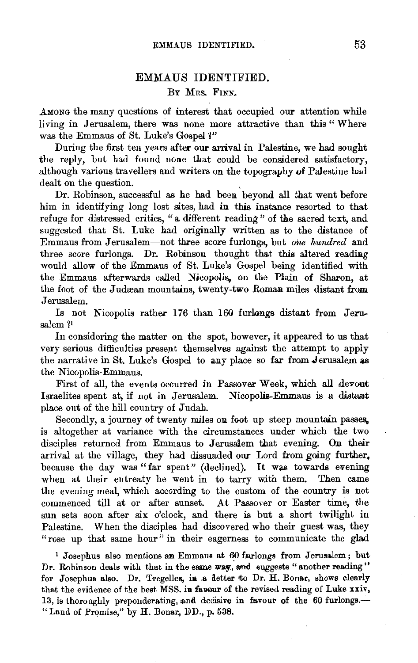## EMMAUS IDENTIFIED. BY MRS. FINN.

AMONG the many questions of interest that occupied our attention while living in Jerusalem, there was none more attractive than this" Where was the Emmaus of St. Luke's Gospel ?"

During the first ten years after our arrival in Palestine, we had sought the reply, but had found none that could be considered satisfactory, although various travellers and writers on the topography of Palestine had dealt on the question.

Dr. Robinson, successful as he had been beyond all that went before him in identifying long lost sites, had in this instance resorted to that refuge for distressed critics, "a different reading" of the sacred text, and suggested that St. Luke had originally written as to the distance of Emmaus from Jerusalem-not three score furlongs, but *one hundred* and three score furlongs. Dr. Robinson thought that this altered readiug would allow of the Emmaus of St. Luke's Gospel being identified with the Emmaus afterwards called Nicopolis, on the Plain of Sharon, at the foot of the Judæan mountains, twenty-two Roman miles distant from Jerusalem.

Is not Nicopolis rather 176 than 160 furlongs distant from Jerusalem 11

In considering the matter on the spot, however, it appeared to us that very serious difficulties present themselves against the attempt to apply the narrative in St. Luke's Gospel to any place so far from Jerusalem as the Nicopolis-Emmaus.

First of all, the events occurred in Passover Week, which all devout Israelites spent at, if not in Jerusalem. Nicopolis-Emmaus is a distant place out of the hill country of Judah.

Secondly, a journey of twenty miles on foot up steep mountain passes, is altogether at variance with the circumstances under which the two disciples returned from Emmaus to Jerusalem that evening. On their arrival at the village, they had dissuaded our Lord from going further, because the day was "far spent" (declined). It was towards evening when at their entreaty he went in to tarry with them. Then came the evening meal, which according to the custom of the country is not commenced till at or after sunset. At Passover or Easter time, the sun sets soon after six o'clock, and there is but a short twilight in Palestine. When the disciples had discovered who their guest was, they "rose up that same hour" in their eagerness to communicate the glad

<sup>1</sup> Josephus also mentions an Emmaus at 60 furlongs from Jerusalem; but Dr. Robinson deals with that in the eame way, and suggests "another reading" for Josephus also. Dr. Tregelles, in a fletter to Dr. H. Bonar, shows clearly that the evidence of the best MSS. in favour of the revised reading of Luke xxiv, 13, is thoroughly preponderating, and decisive in favour of the 60 furlongs.-" Land of Promise," by H. Bonar,  $DD.$ , p. 538.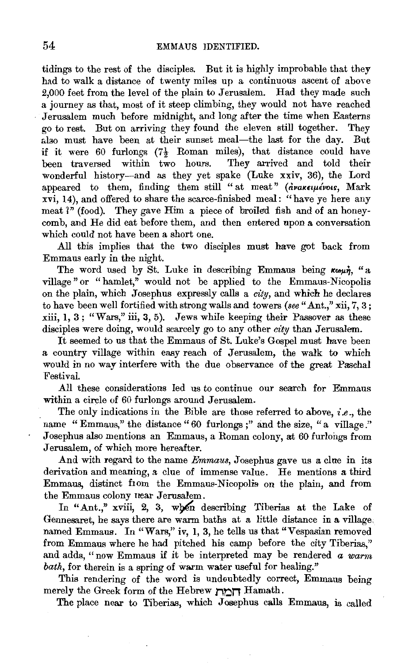tidings to the rest of the disciples. But it is highly improbable that they had to walk a distance of twenty miles up a continuous ascent of above 2,000 feet from the level of the plain to Jerusalem. Had they made such a journey as that, most of it steep climbing, they would not have reached Jerusalem much before midnight, and long after the time when Easterns go to rest. But on arriving they found the eleven still together. They also must have been at their sunset meal-the last for the day. But if it were 60 furlongs  $(7\frac{1}{2}$  Roman miles), that distance could have been traversed within two hours. They arrived and told their been traversed within two hours. wonderful history-and as they yet spake (Luke xxiv, 36), the Lord appeared to them, finding them still "at meat" ( $\frac{d}{dx}$ uuteuperous, Mark xvi, 14), and offered to share the scarce-finished meal: "have ye here any meat *l*" (food). They gave Him a piece of broiled fish and of an honeycomb, and He did eat before them, and then entered npon a conversation which could not have been a short one.

All this implies that the two disciples must have got back from Emmaus early in the night.

The word used by St. Luke in describing Emmaus being  $\kappa \omega \mu \dot{\eta}$ , "a. village" or "hamlet," would not be applied to the Emmaus-Nicopolis on the plain, which Josephus expressly calls a *city,* and which he declares to have been well fortified with strong walls and towers *(see"* Ant.," xii, 7, 3; xiii, 1, 3; "Wars," iii, 3, 5). Jews while keeping their Passover as these disciples were doing, would scarcely go to any other *city* than Jerusalem.

It seemed to us that the Emmaus of St. Luke's Gospel must have been a country village within easy reach of Jerusalem, the walk to which would in no way interfere with the due observance of the great Paschal Festival.

Ali these considerations led us to continue our search for Emmaus within a circle of 60 furlongs around Jerusalem.

The only indications in the Bible are those referred to above, *i.e.,* the name "Emmaus," the distance "60 furlongs;" and the size, "a village." Josephus also mentions an Emmaus, a Roman colony, at 60 furlongs from Jerusalem, of which more hereafter.

And with regard to the name *Emmaus*, Josephus gave us a clue in its derivation and meaning, a clue of immense value. He mentions a third Emmaus, distinct from the Emmaus-Nicopolis on the plain, and from the Emmaus colony near Jerusalem.

In "Ant.," xviii, 2, 3, when describing Tiberias at the Lake of Gennesaret, he says there are warm baths at a little distance in a village, named Emmaus. In "Wars," iv, 1, 3, he tells us that "Vespasian removed from Emmaus where he had pitched his camp before the city Tiberias," and adds, "now Emmaus if it be interpreted may be rendered *a warm bath,* for therein is a spring of warm water useful for healing."

This rendering of the word is undoubtedly correct, Emmaus being merely the Greek form of the Hebrew **liOn** Hamath.

The place near to Tiberias, which Josephus calls Emmaus, is called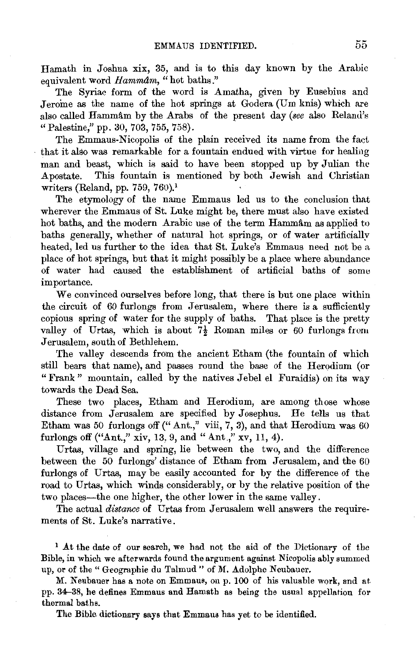Hamath in Joshua xix, 35, and is to this day known by the Arabic equivalent word *Hammam*, "hot baths."

The Syriac form of the word is Amatha, given by Eusebius and Jerome as the name of the hot springs at Godera (Um knis) which are also called Hamman by the Arabs of the present day (see also Reland's "Palestine," pp. 30,703,755, 758).

The Emmaus-Nicopolis of the plain received its name from the fact that it also was remarkable for a fountain endued with virtue for healing man and beast, which is said to have been stopped up by Julian the Apostate. This fountain is mentioned by both Jewish and Christian writers (Reland, pp. 759, 760).<sup>1</sup>

The etymology of the name Emmaus led us to the conclusion that wherever the Emmaus of St. Luke might be, there must also have existed hot baths, and the modern Arabic use of the term Hammam as applied to baths generally, whether of natural hot springs, or of water artificially heated, led us further to the idea that St. Luke's Emmaus need not be a place of hot springs, but that it might possibly be a place where abundance of water had caused the establishment of artificial baths of some importance.

We convinced ourselves before long, that there is but one place within the circuit of 60 furlongs from Jerusalem, where there is a sufficiently copious spring of water for the supply of baths. That place is the pretty valley of Urtas, which is about  $7\frac{1}{2}$  Roman miles or 60 furlongs from Jerusalem, south of Bethlehem.

The valley descends from the ancient Etham (the fountain of which still bears that name), and passes round the base of the Herodium (or "Frank" mountain, called by the natives Jebel el Furaidis) on its way towards the Dead Sea.

These two places, Etham and Herodium, are among those whose distance from Jerusalem are specified by Josephus. He tells us that Etham was 50 furlongs off ("Ant.," viii, 7, 3), and that Herodium was 60 furlongs off ("Ant.," xiv, 13, 9, and " Ant.," xv, 11, 4).

Urtas, village and spring, lie between the two, and the difference between the 50 furlongs' distance of Etham from Jerusalem, and the 60 furlongs of Urtas, may be easily accounted for by the difference of the road to Urtas, which winds considerably, or by the relative position of the two places-the one higher, the other lower in the same valley.

The actual *distance* of Urtas from Jerusalem well answers the requirements of St. Luke's narrative.

1 At the date of our search, we had not the aid of the Dictionary of the Bible, in which we afterwards found the argument against Nicopolis ably summed up, or of the " Geographie du Talmud " of M. Adolphe Neubauer.

M. Neubauer has a note on Emmaus, on p. 100 of his valuable work, and at. pp. 34-38, he defines Emmaus and Hamath as being the usual appellation for thermal baths.

The Bible. dictionary says that Emmaua has yet to be identified.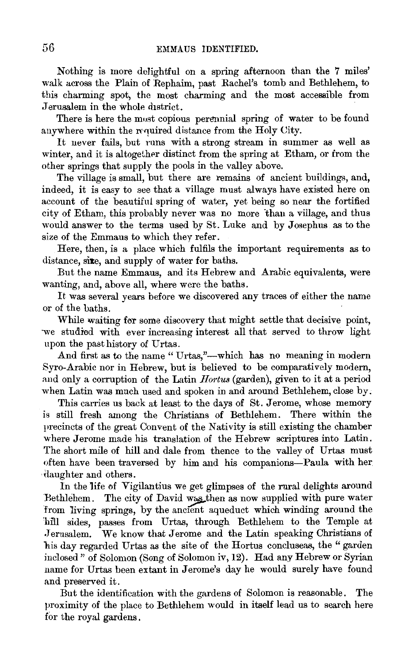Nothing is more delightful on a spring afternoon than the 7 miles' walk across the Plain of Rephaim, past Rachel's tomb and Bethlehem, to this charming spot, the most charming and the most accessible from Jerusalem in the whole district.

There is here the most copious perennial spring of water to be found anywhere within the required distance from the Holy City.

It never fails, but runs with a strong stream in summer as well as winter, and it is altogether distinct from the spring at Etham, or from the other springs that supply the pools in the valley above.

The village is small, but there are remains of ancient buildings, and, indeed, it is easy to see that a village must always have existed here on account of the beautiful spring of water, yet being so near the fortified city of Etham, this probably never was no more 'than a village, and thus would answer to the terms used by St. Luke and by Josephus as to the size of the Emmaus to which they refer.

Here, then, is a place which fulfils the important requirements as to distance, sixe, and supply of water for baths.

But the name Emmaus, and its Hebrew and Arabic equivalents, were wanting, and, above all, where were the baths.

It was several years before we discovered any traces of either the name or of the baths.

While waiting for some discovery that might settle that decisive point, -we studied with ever increasing interest all that served to throw light upon the past history of Urtas.

And first as to the name "Urtas,"—which has no meaning in modern Syro-Arabic nor in Hebrew, but is believed to be comparatively modern, and only a corruption of the Latin *Hortus* (garden), given to it at a period when Latin was much used and spoken in and around Bethlehem, close by.

This carries us back at least to the days of St. Jerome, whose memory is still fresh among the Christians of Bethlehem. There within the precincts of the great Convent of the Nativity is still existing the chamber where Jerome made his translation of the Hebrew scriptures into Latin. The short mile of hill and dale from thence to the valley of Urtas must often have been traversed by him and his companions-Paula with her daughter and others.

In the life of Vigilantius we get glimpses of the rural delights around Bethlehem. The city of David was then as now supplied with pure water from living springs, by the ancient aqueduct which winding around the hill sides, passes from Urtas, through Bethlehem to the Temple at .Jerusalem. We know that Jerome and the Latin speaking Christians of 'his day regarded Urtas as the site of the Hortus concluseas, the "garden inclosed" of Solomon (Song of Solomon iv, 12). Had any Hebrew or Syrian name for Urtas been extant in Jerome's day he would surely have found and preserved it.

But the identification with the gardens of Solomon is reasonable. The proximity of the place to Bethlehem would in itself lead us to search here for the royal gardens.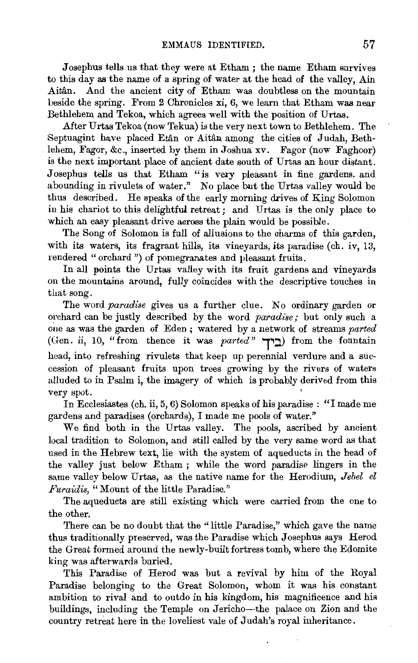Josephus tells us that they were at Etham ; the name Etham survives to this day as the name of a spring of water at the head of the valley, Ain Aitân. And the ancient city of Etham was doubtless on the mountain beside the spring. From 2 Chronicles xi, 6, we learn that Etham was near Bethlehem and Tekoa, which agrees well with the position of Urtas.

After Urtas Tekoa (now Tekua) is the very next town to Bethlehem. The Septuagint have placed Etân or Aitân among the cities of Judah, Bethlehem, Fagor, &c., inserted by them in Joshua xv. Fagor (now Faghoor) is the next important place of ancient date south of Urtas an hour distant. Josephus tells us that Etham "is very pleasant in fine gardens, and abounding in rivulets of water." No place but the Urtas valley would be thus described. He speaks of the early morning drives of King Solomon in his chariot to this delightful retreat; and Urtas is the only place to which an easy pleasant drive across the plain would be possible.

The Song of Solomon is full of allusions to the charms of this garden, with its waters, its fragrant hills, its vineyards, its paradise (ch. iv, 13, rendered " orchard ") of pomegranates and pleasant fruits.

In all points the Urtas valley with its fruit gardens and vineyards on the mountains around, fully coincides with the descriptive touches in that song.

The word *paradise* gives us a further clue. No ordinary garden or orchard can be justly described by the word *paradise;* but only such a one as was the garden of Eden; watered by a network of streams *parted* (Gen. ii, 10, "from thence it was *parted"* 1~:l) from the fountain head, into refreshing rivulets that keep up perennial verdure and a succession of pleasant fruits upon trees growing by the rivers of waters alluded to in Psalm i, the imagery of which is probably derived from this very spot.

In Ecclesiastes (ch. ii, 5, 6) Solomon speaks of his paradise : "I made me gardens and paradises (orchards), I made me pools of water."

We find both in the Urtas valley. The pools, ascribed by ancient local tradition to Solomon, and still called by the very same word as that used in the Hebrew text, lie with the system of aqueducts in the head of the valley just below Etham ; while the word paradise lingers in the same valley below Urtas, as the native name for the Herodium, *Jebel el Furaidis,* "Mount of the little Paradise."

The aqueducts are still existing which were carried from the one to the other.

There can be no doubt that the "little Paradise," which gave the name thus traditionally preserved, was the Paradise which Josephus says Herod the Great formed around the newly-built fortress tomb, where the Edomite king was afterwards buried.

This Paradise of Herod was but a revival by him of the Royal Paradise belonging to the Great Solomon, whom it was his constant ambition to rival and to outdo in his kingdom, his magnificence and his buildings, including the Temple on Jericho--the palace on Zion and the country retreat here in the loveliest vale of Judah's royal inheritance.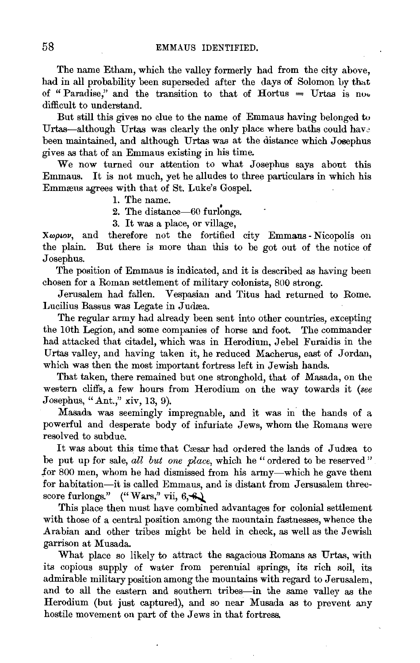The name Etham, which the valley formerly had from the city above, had in all probability been superseded after the days of Solomon by that of "Paradise," and the transition to that of Hortus = Urtas is not difficult to understand.

But still this gives no clue to the name of Emmaus having belonged to Urtas-although Urtas was clearly the only place where baths could have been maintained, and although Urtas was at the distance which Josephus gives as that of an Emmaus existing in his time.

We now turned our attention to what Josephus says about this Emmaus. It is not much, yet he alludes to three particulars in which his Emmreus agrees with that of St. Luke's Gospel.

1. The name.

2. The distance-60 furlongs.

3. It was a place, or village,

*Xooptov,* and therefore not the fortified city Emmaus- Nicopolis ou the plain. But there is more than this to be got out of the notice of Josephus.

The position of Emmaus is indicated, and it is described as having been chosen for a Roman settlement of military colonists, 800 strong.

Jerusalem had fallen. Vespasian and Titus had returned to Rome. Lucilius Bassus was Legate in Judæa.

The regular army had already been sent into other countries, excepting the lOth Legion, and some companies of horse and foot. The commander had attacked that citadel, which was in Herodium, Jebel Furaidis in the Urtas valley, and having taken it, he reduced Macherus, east of Jordan, which was then the most important fortress left in Jewish hands.

That taken, there remained but one stronghold, that of Masada, on the western cliffs, a few hours from Herodium on the way towards it *(see*  Josephus, "Ant.," xiv, 13, 9).

Masada was seemingly impregnable, and it was in the hands of a powerful and desperate body of infuriate Jews, whom the Romans were resolved to subdue.

It was about this time that Cæsar had ordered the lands of Judæa to be put up for sale, *all but one place,* which he "ordered to be reserved" for 800 men, whom he had dismissed from his army-which he gave them for habitation-it is called Emmaus, and is distant from Jersusalem threescore furlongs."  $($ "Wars," vii, 6,  $\bigoplus$ 

This place then must have combined advantages for colonial settlement with those of a central position among the mountain fastnesses, whence the Arabian and other tribes might be held in check, as well as the Jewish garrison at Musada.

What place so likely to attract the sagacious Romans as Urtas, with its copious supply of water from perennial springs, its rich soil, its admirable military position among the mountains with regard to Jerusalem, and to all the eastern and southern tribes-in the same valley as the Herodium (but just captured), and so near Musada as to prevent any hostile movement on part of the Jews in that fortress.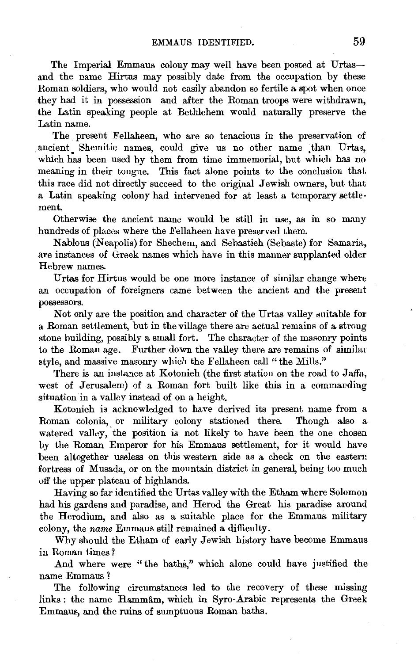The Imperial Emmaus colony may well have been posted at Urtasand the name Hirtus may possibly date from the occupation by these Roman soldiers, who would not easily abandon so fertile a spot when once they had it in possession-and after the Roman troops were withdrawn. the Latin speaking people at Bethlehem would naturally preserve the Latin name.

The present Fellaheen, who are so tenacious in the preservation of ancient. Shemitic names, could give us no other name than Urtas, which has been used by them from time immemorial, but which has no meaning in their tongue. This fact alone points to the conclusion that this race did not directly succeed to the original Jewish owners, but that a Latin speaking colony had intervened for at least a. temporary settle· ment.

Otherwise the ancient name would be still in use, as in so many hundreds of places where the Fellaheen have preserved them.

Nablous (Neapolis) for Shechem, and Sebastieh (Sebaste) for Samaria, are instances of Greek names which have in this manner supplanted older Hebrew names.

Urtas for Hirtus would be one more instance of similar change where an occupation of foreigners came between the ancient and the present possessors.

Not only are the position and character of the Urtas valley suitable for a Roman settlement, but in the village there are actual remains of a strong stone building, possibly a small fort. The character of the masonry points to the Roman age. Further down the valley there are remains of similar style, and massive masonry which the Fellaheen call "the Mills."

There is an instance at Kotonieh (the first station on the road to Jaffa, west of Jerusalem) of a Roman fort built like this in a commanding situation in a valley instead of on a height.

Kotonieh is acknowledged to have derived its present name from a Roman colonia, or military colony stationed there. Though also a watered valley, the position is not likely to have been the one chosen by the Roman Emperor for his Emmaus settlement, for it would have been altogether useless on this western side as a check on the eastern fortress of Musada, or on the mountain district in general, being too much off the upper plateau of highlands.

Having so far identified the Urtas valley with the Etham where Solomon had his gardens and paradise, and Herod the Great his paradise around the Herodium, and also as a suitable place for the Emmaus military colony, the *name* Emmaus still remained a difficulty.

Why should the Etham of early Jewish history have become Emmaus in Roman times 1

And where were "the baths," which alone could have justified the name Emmaus 1

The following circumstances led to the recovery of these missing links: the name Hammâm, which in Syro-Arabic represents the Greek Emmaus, and the ruins of sumptuous Roman baths.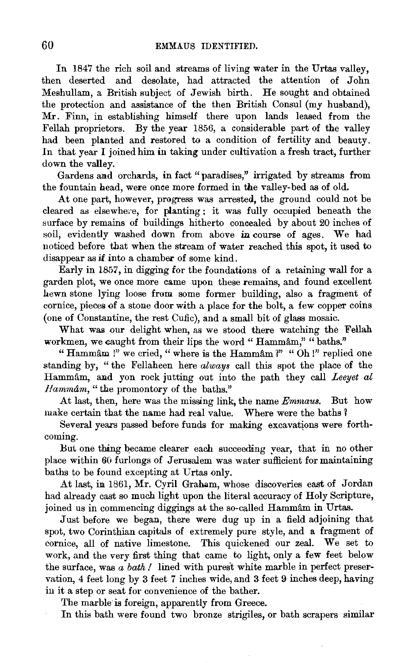In 1847 the rich soil and streams of living water in the Urtas valley, then deserted and desolate, had attracted the attention of John Meshullam, a British subject of Jewish birth. He sought and obtained the protection and assistance of the then British Consul (my husband), Mr. Finn, in establishing himself there upon lands leased from the Fellah proprietors. By the year 1856, a considerable part of the valley had been planted and restored to a condition of fertility and beauty. In that year I joined him in taking under cultivation a fresh tract, further down the valley.

Gardens and orchards, in fact "paradises," irrigated by streams from the fountain head, were once more formed in the valley-bed as of old.

.At one part, however, progress was arrested, the ground could not be cleared as elsewhere, for planting; it was fully occupied beneath the surface by remains of buildings hitherto concealed by about 20 inches of soil, evidently washed down from above in course of ages. We had noticed before that when the stream of water reached this spot, it used to disappear as if into a chamber of some kind.

Early in 1857, in digging for the foundations of a retaining wall for a garden plot, we once more came upon these remains, and found excellent hewn stone lying loose from some former building, also a fragment of cornice, pieces of a stone door with a place for the bolt, a few copper coins (one of Constantine, the rest Cufic), and a small bit of glass mosaic.

What was our delight when, as we stood there watching the Fellah workmen, we caught from their lips the word " Hammam," "baths."

" Hammam !" we cried, " where is the Hammam ?" " Oh !" replied one standing by, "the Fellaheen here *always* call this spot the place of the Hammâm, and yon rock jutting out into the path they call *Leeyet al* Hammam, "the promontory of the baths."

.At last, then, here was the missing link, the name *Emmaus.* But how make certain that the name had real value. Where were the baths 1

Several years passed before funds for making excavations were forthcoming.

But one thing became clearer each succeeding year, that in no other place within 60 furlongs of Jerusalem was water sufficient for maintaining baths to be found excepting at Urtas only.

At last, in 1861, Mr. Cyril Graham, whose discoveries east of Jordan had already cast so much light upon the literal accuracy of Holy Scripture, joined us in commencing diggings at the so-called Hammam in Urtas.

Just before we began, there were dug up in a field adjoining that spot, two Corinthian capitals of extremely pure style, and a fragment of cornice, all of native limestone. This quickened our zeal. We set to work, and the very first thing that came to light, only a few feet below the surface, was *a bath I* lined with purest white marble in perfect preservation, 4 feet long by 3 feet 7 inches wide, and 3 feet 9 inches deep, having in it a step or seat for convenience of the bather.

The marble is foreign, apparently from Greece.

In this bath were found two bronze strigiles, or bath scrapers similar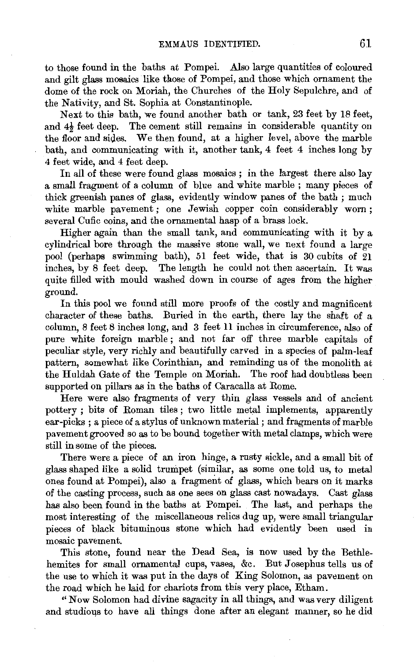to those found in the baths at Pompei. Also large quantities of coloured and gilt glass mosaics like those of Pompei, and those which ornament the dome of the rock on Moriah, the Churches of the Holy Sepulchre, and of the Nativity, and St. Sophia at Constantinople.

Next to this bath, we found another bath or tank, 23 feet by 18 feet, and 4t feet deep. The cement still remains in considerable quantity on the floor and sides. We then found, at a higher level, above the marble bath, and communicating with it, another tank, 4 feet 4 inches long by 4 feet wide, and 4 feet deep.

In all of these were found glass mosaics ; in the largest there also lay a small fragment of a column of blue and white marble ; many pieces of thick greenish panes of glass, evidently window panes of the bath ; much white marble pavement; one Jewish copper coin considerably worn; several Cufic coins, and the ornamental hasp of a brass lock.

Higher again than the small tank, and communicating with it by a cylindrical bore through the massive stone wall, we next found a large pool (perhaps swimming bath), 51 feet wide, that is 30 cubits of 21 inches, by 8 feet deep. The length he could not then ascertain. It was quite filled with mould washed down in course of ages from the higher ground.

In this pool we found still more proofs of the costly and magnificent character of these baths. Buried in the earth, there lay the shaft of a column, 8 feet 8 inches long, and 3 feet 11 inches in circumference, also of pure white foreign marble ; and not far off three marble capitals of peculiar style, very richly and beautifully carved in a species of palm-leaf pattern, somewhat like Corinthian, and reminding us of the monolith at the Huldah Gate of the Temple on Moriah. The roof had doubtless been supported on pillars as in the baths of Caracalla at Rome.

Here were also fragments of very thin glass vessels and of ancient pottery; bits of Roman tiles; two little metal implements, apparently ear-picks ; a piece of a stylus of unknown material ; and fragments of marble pavement grooved so as to be bound together with metal clamps, which were still in some of the pieces.

There were a piece of an iron hinge, a rusty sickle, and a small bit of glass shaped like a solid trumpet (similar, as some one told us, to metal ones found at Pompei), also a fragment of glass, which bears on it marks of the casting process, such as one sees on glass cast nowadays. Cast glass has also been found in the baths at Pompei. The last, and perhaps the most interesting of the miscellaneous relics dug up, were small triangular pieces of black bituminous stone which had evidently been used in mosaic pavement.

This stone, found near the Dead Sea, is now used by the Bethlehemites for small ornamental cups, vases, &c. But Josephus tells us of the use to which it was put in the days of King Solomon, as pavement on the road which he laid for chariots from this very place, Etham.

''Now Solomon had divine sagacity in all things, and was very diligent and studious to have all things done after an elegant manner, so he did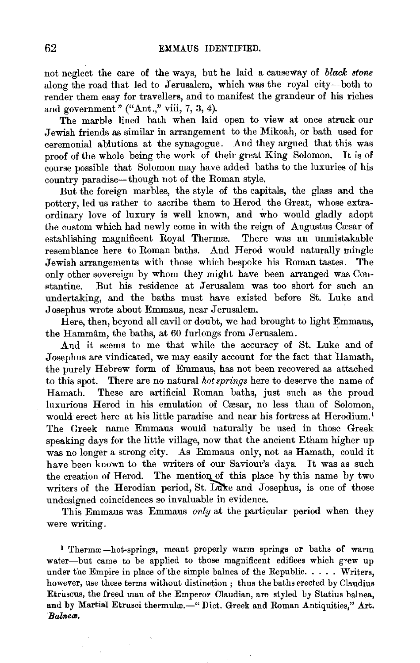not neglect the care of the ways, but he laid a causeway of *black stone*  along the road that led to Jerusalem, which was the royal city--both to render them easy for travellers, and to manifest the grandeur of his riches and government" ("Ant.," viii,  $7, 3, 4$ ).

The marble lined bath when laid open to view at once struck our .Jewish friends as similar in arrangement to the Mikoah, or bath used for ceremonial ablutions at the synagogue. And they argued that this was proof of the whole being the work of their great King Solomon. It is of course possible that Solomon may have added baths to the luxuries of his country paradise-though not of the Roman style.

But the foreign marbles, the style of the capitals, the glass and the pottery, led us rather to ascribe them to Herod the Great, whose extraordinary love of luxury is well known, and who would gladly adopt the custom which had newly come in with the reign of Augustus Cæsar of establishing magnificent Royal Thermæ. There was an unmistakable resemblance here to Roman baths. And Herod would naturally mingle .Jewish arrangements with those which bespoke his Roman tastes. The only other sovereign by whom they might have been arranged was Con stantine. But his residence at Jerusalem was too short for such an undertaking, and the baths must have existed before St. Luke and Josephus wrote about Emmaus, near Jerusalem.

Here, then, beyond all cavil or doubt, we had brought to light Emmaus, the Hammam, the baths, at 60 furlongs from Jerusalem.

And it seems to me that while the accuracy of St. Luke and of .Josephus are vindicated, we may easily account for the fact that Hamath, the purely Hebrew form of Emmaus, has not been recovered as attached to this spot. There are no natural *hot springs* here to deserve the name of Hamath. These are artificial Roman baths, just such as the proud luxurious Herod in his emulation of Cæsar, no less than of Solomon, would erect here at his little paradise and near his fortress at Herodium.<sup>1</sup> The Greek name Emmaus would naturally be used in those Greek speaking days for the little village, now that the ancient Etham higher up was no longer a strong city. As Emmaus only, not as Hamath, could it have been known to the writers of our Saviour's days. It was as such the creation of Herod. The mention of this place by this name by two writers of the Herodian period, St. Luke and Josephus, is one of those undesigned coincidences so invaluable in evidence.

This Emmaus was Emmaus *only* at the particular period when they were writing.

<sup>1</sup> Thermæ-hot-springs, meant properly warm springs or baths of warm water-but came to be applied to those magnificent edifices which grew up under the Empire in place of the simple balnea of the Republic.  $\dots$ . Writers, however, use these terms without distinction ; thus the baths erected by Claudius Etruscus, the freed man of the Emperor Claudian, are styled by Statius balnea. and by Martial Etrusci thermulæ.-" Dict. Greek and Roman Antiquities," Art. Balneæ.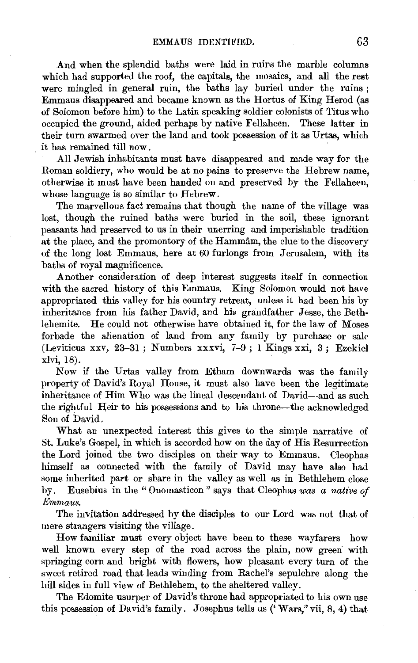And when the splendid baths were laid in ruins the marble columns which had supported the roof, the capitals, the mosaics, and all the rest were mingled in general ruin, the baths lay buried under the ruins; Emmaus disappeared and became known as the Hortus of King Herod (as of Solomon before him) to the Latin speaking soldier colonists of Titus who occupied the ground, aided perhaps by native Fellaheen. These latter in their turn swarmed over the land and took possession of it as Urtas, which it has remained till now.

All Jewish inhabitants must have disappeared and made way for the Roman soldiery, who would be at no pains to preserve the Hebrew name, otherwise it must have been handed on and preserved by the Fellaheen, whose language is so similar to Hebrew.

The marvellous fact remains that though the name of the village was lost, though the ruined baths were buried in the soil, these ignorant peasants had preserved to us in their unerring and imperishable tradition at the place, and the promontory of the Hammâm, the clue to the discovery of the long lost Emmaus, here at 60 furlongs from Jerusalem, with its baths of royal magnificence.

Another consideration of deep interest suggests itself in connection with the sacred history of this Emmaus. King Solomon would not have appropriated this valley for his country retreat, unless it had been his by inheritance from his father David, and his grandfather Jesse, the Bethlehemite. He could not otherwise have obtained it, for the law of Moses forbade the alienation of land from any family by purchase or sale (Leviticus xxv, 23-31; Numbers xxxvi, 7-9; 1 Kings xxi, 3; Ezekiel xlvi, 18).

Now if the Urtas valley from Etham downwards was the family property of David's Royal House, it must also have been the legitimate inheritance of Him Who was the lineal descendant of David--and as such the rightful Heir to his possessions and to his throne-the acknowledged Son of David.

What an unexpected interest this gives to the simple narrative of St. Luke's Gospel, in which is accorded how on the day of His Resurrection the Lord joined the two disciples on their way to Emmaus. Cleophas himself as connected with the family of David may have also had some inherited part or share in the valley as well as in Bethlehem close by. Eusebius in the "Onomasticon" says that Cleophas *was a native of Emmaus.* 

The invitation addressed by the disciples to our Lord was not that of mere strangers visiting the village.

How familiar must every object have been to these wayfarers-how well known every step of the road across the plain, now green with springing corn and bright with flowers, how pleasant every turn of the sweet retired road that leads winding from Rachel's sepulchre along the hill sides in full view of Bethlehem, to the sheltered valley

The Edomite usurper of David's throne had appropriated to his own use this possession of David's family. Josephus tells us ('Wars," vii, 8, 4) that